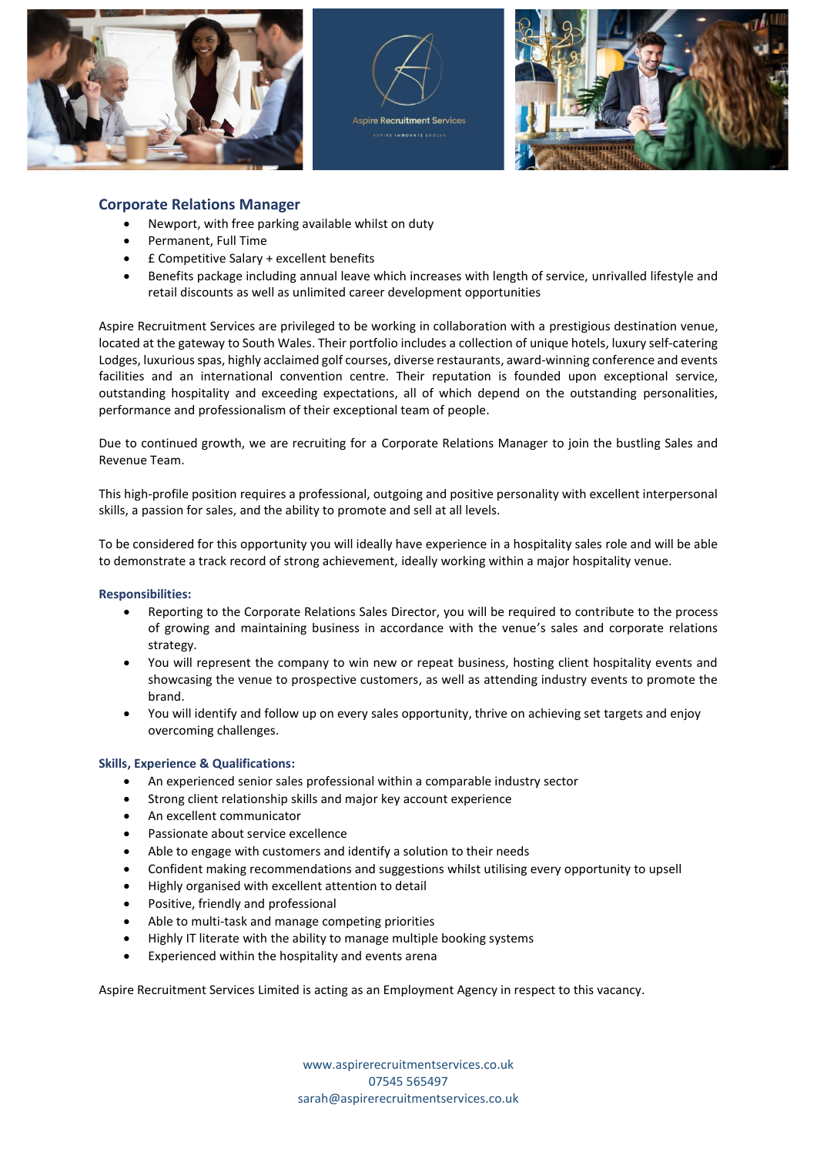





## **Corporate Relations Manager**

- Newport, with free parking available whilst on duty
- Permanent, Full Time
- £ Competitive Salary + excellent benefits
- Benefits package including annual leave which increases with length of service, unrivalled lifestyle and retail discounts as well as unlimited career development opportunities

Aspire Recruitment Services are privileged to be working in collaboration with a prestigious destination venue, located at the gateway to South Wales. Their portfolio includes a collection of unique hotels, luxury self-catering Lodges, luxurious spas, highly acclaimed golf courses, diverse restaurants, award-winning conference and events facilities and an international convention centre. Their reputation is founded upon exceptional service, outstanding hospitality and exceeding expectations, all of which depend on the outstanding personalities, performance and professionalism of their exceptional team of people.

Due to continued growth, we are recruiting for a Corporate Relations Manager to join the bustling Sales and Revenue Team.

This high-profile position requires a professional, outgoing and positive personality with excellent interpersonal skills, a passion for sales, and the ability to promote and sell at all levels.

To be considered for this opportunity you will ideally have experience in a hospitality sales role and will be able to demonstrate a track record of strong achievement, ideally working within a major hospitality venue.

## **Responsibilities:**

- Reporting to the Corporate Relations Sales Director, you will be required to contribute to the process of growing and maintaining business in accordance with the venue's sales and corporate relations strategy.
- You will represent the company to win new or repeat business, hosting client hospitality events and showcasing the venue to prospective customers, as well as attending industry events to promote the brand.
- You will identify and follow up on every sales opportunity, thrive on achieving set targets and enjoy overcoming challenges.

## **Skills, Experience & Qualifications:**

- An experienced senior sales professional within a comparable industry sector
- Strong client relationship skills and major key account experience
- An excellent communicator
- Passionate about service excellence
- Able to engage with customers and identify a solution to their needs
- Confident making recommendations and suggestions whilst utilising every opportunity to upsell
- Highly organised with excellent attention to detail
- Positive, friendly and professional
- Able to multi-task and manage competing priorities
- Highly IT literate with the ability to manage multiple booking systems
- Experienced within the hospitality and events arena

Aspire Recruitment Services Limited is acting as an Employment Agency in respect to this vacancy.

www.aspirerecruitmentservices.co.uk 07545 565497 [sarah@aspirerecruitmentservices.co.uk](mailto:sarah@aspirerecruitmentservices.co.uk)